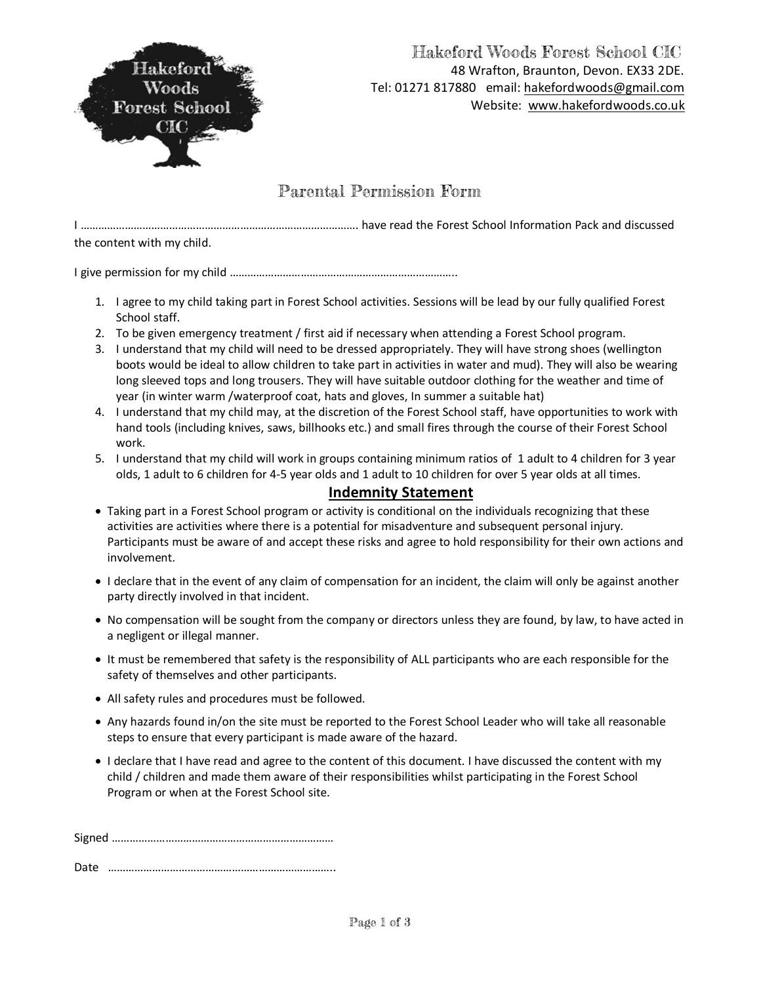

## Hakeford Woods Forest School CIC 48 Wrafton, Braunton, Devon. EX33 2DE. Tel: 01271 817880 email: hakefordwoods@gmail.com Website: www.hakefordwoods.co.uk

### Parental Permission Form

I …………………………………………………………………………………. have read the Forest School Information Pack and discussed the content with my child.

I give permission for my child …………………………………………………………………..

- 1. I agree to my child taking part in Forest School activities. Sessions will be lead by our fully qualified Forest School staff.
- 2. To be given emergency treatment / first aid if necessary when attending a Forest School program.
- 3. I understand that my child will need to be dressed appropriately. They will have strong shoes (wellington boots would be ideal to allow children to take part in activities in water and mud). They will also be wearing long sleeved tops and long trousers. They will have suitable outdoor clothing for the weather and time of year (in winter warm /waterproof coat, hats and gloves, In summer a suitable hat)
- 4. I understand that my child may, at the discretion of the Forest School staff, have opportunities to work with hand tools (including knives, saws, billhooks etc.) and small fires through the course of their Forest School work.
- 5. I understand that my child will work in groups containing minimum ratios of 1 adult to 4 children for 3 year olds, 1 adult to 6 children for 4-5 year olds and 1 adult to 10 children for over 5 year olds at all times.

#### **Indemnity Statement**

- · Taking part in a Forest School program or activity is conditional on the individuals recognizing that these activities are activities where there is a potential for misadventure and subsequent personal injury. Participants must be aware of and accept these risks and agree to hold responsibility for their own actions and involvement.
- · I declare that in the event of any claim of compensation for an incident, the claim will only be against another party directly involved in that incident.
- · No compensation will be sought from the company or directors unless they are found, by law, to have acted in a negligent or illegal manner.
- · It must be remembered that safety is the responsibility of ALL participants who are each responsible for the safety of themselves and other participants.
- · All safety rules and procedures must be followed.
- · Any hazards found in/on the site must be reported to the Forest School Leader who will take all reasonable steps to ensure that every participant is made aware of the hazard.
- · I declare that I have read and agree to the content of this document. I have discussed the content with my child / children and made them aware of their responsibilities whilst participating in the Forest School Program or when at the Forest School site.

Signed …………………………………………………………………

Date …………………………………………………………………..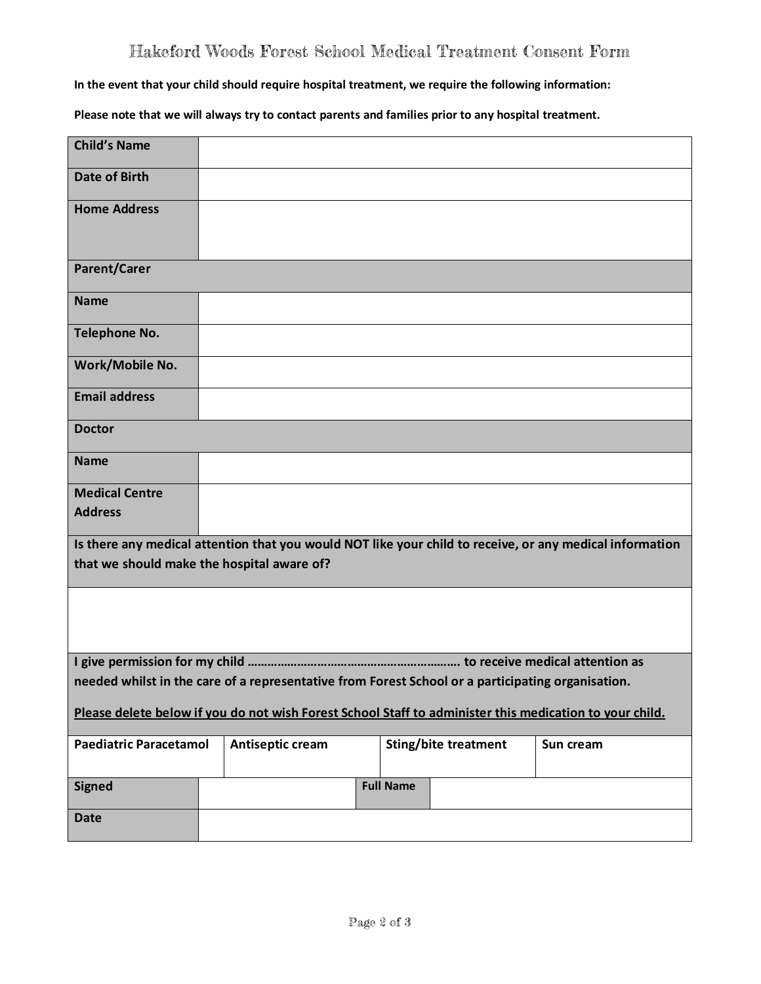## Hakeford Woods Forest School Medical Treatment Consent Form

**In the event that your child should require hospital treatment, we require the following information:**

**Please note that we will always try to contact parents and families prior to any hospital treatment.**

| <b>Child's Name</b>                                                                                      |  |                                                                                                   |  |  |                             |           |  |  |
|----------------------------------------------------------------------------------------------------------|--|---------------------------------------------------------------------------------------------------|--|--|-----------------------------|-----------|--|--|
| <b>Date of Birth</b>                                                                                     |  |                                                                                                   |  |  |                             |           |  |  |
| <b>Home Address</b>                                                                                      |  |                                                                                                   |  |  |                             |           |  |  |
| Parent/Carer                                                                                             |  |                                                                                                   |  |  |                             |           |  |  |
| <b>Name</b>                                                                                              |  |                                                                                                   |  |  |                             |           |  |  |
| <b>Telephone No.</b>                                                                                     |  |                                                                                                   |  |  |                             |           |  |  |
| Work/Mobile No.                                                                                          |  |                                                                                                   |  |  |                             |           |  |  |
| <b>Email address</b>                                                                                     |  |                                                                                                   |  |  |                             |           |  |  |
| <b>Doctor</b>                                                                                            |  |                                                                                                   |  |  |                             |           |  |  |
| <b>Name</b>                                                                                              |  |                                                                                                   |  |  |                             |           |  |  |
| <b>Medical Centre</b>                                                                                    |  |                                                                                                   |  |  |                             |           |  |  |
| <b>Address</b>                                                                                           |  |                                                                                                   |  |  |                             |           |  |  |
| Is there any medical attention that you would NOT like your child to receive, or any medical information |  |                                                                                                   |  |  |                             |           |  |  |
| that we should make the hospital aware of?                                                               |  |                                                                                                   |  |  |                             |           |  |  |
|                                                                                                          |  |                                                                                                   |  |  |                             |           |  |  |
|                                                                                                          |  |                                                                                                   |  |  |                             |           |  |  |
|                                                                                                          |  | needed whilst in the care of a representative from Forest School or a participating organisation. |  |  |                             |           |  |  |
| Please delete below if you do not wish Forest School Staff to administer this medication to your child.  |  |                                                                                                   |  |  |                             |           |  |  |
| <b>Paediatric Paracetamol</b>                                                                            |  | Antiseptic cream                                                                                  |  |  | <b>Sting/bite treatment</b> | Sun cream |  |  |
| <b>Signed</b>                                                                                            |  | <b>Full Name</b>                                                                                  |  |  |                             |           |  |  |
| <b>Date</b>                                                                                              |  |                                                                                                   |  |  |                             |           |  |  |